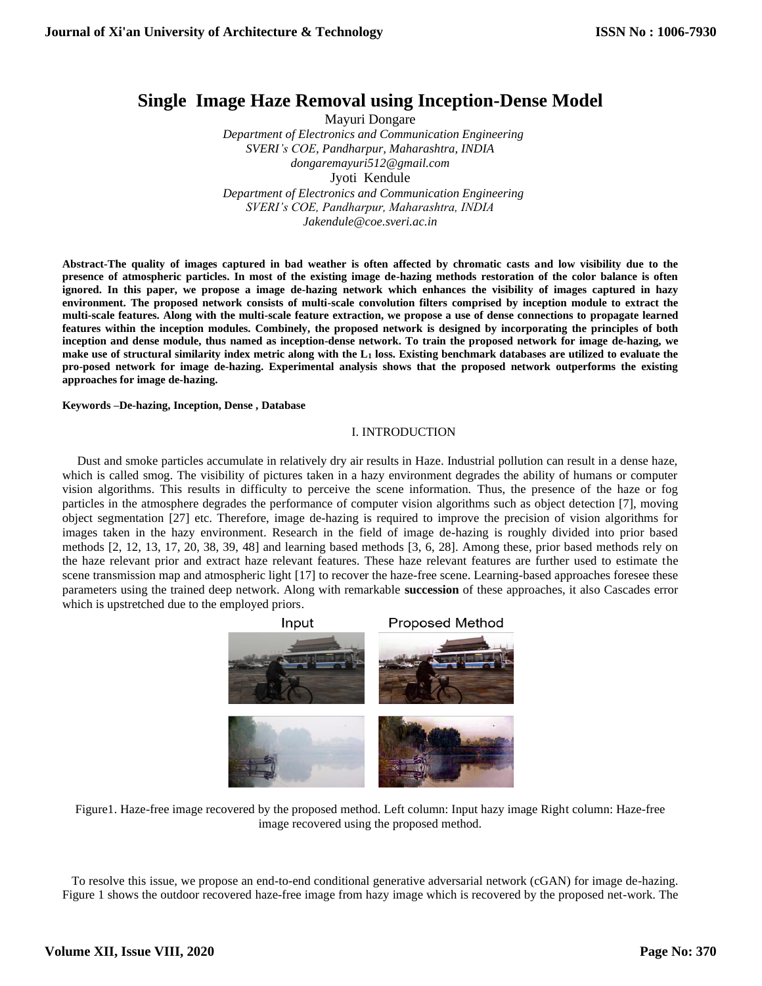# **Single Image Haze Removal using Inception-Dense Model**

Mayuri Dongare  *Department of Electronics and Communication Engineering SVERI's COE, Pandharpur, Maharashtra, INDIA dongaremayuri512@gmail.com* Jyoti Kendule *Department of Electronics and Communication Engineering SVERI's COE, Pandharpur, Maharashtra, INDIA [Jakendule@coe.sveri.ac.in](mailto:Jakendule@coe.sveri.ac.in)*

**Abstract-The quality of images captured in bad weather is often affected by chromatic casts and low visibility due to the presence of atmospheric particles. In most of the existing image de-hazing methods restoration of the color balance is often ignored. In this paper, we propose a image de-hazing network which enhances the visibility of images captured in hazy environment. The proposed network consists of multi-scale convolution filters comprised by inception module to extract the multi-scale features. Along with the multi-scale feature extraction, we propose a use of dense connections to propagate learned features within the inception modules. Combinely, the proposed network is designed by incorporating the principles of both inception and dense module, thus named as inception-dense network. To train the proposed network for image de-hazing, we make use of structural similarity index metric along with the L<sup>1</sup> loss. Existing benchmark databases are utilized to evaluate the pro-posed network for image de-hazing. Experimental analysis shows that the proposed network outperforms the existing approaches for image de-hazing.**

**Keywords –De-hazing, Inception, Dense , Database**

# I. INTRODUCTION

Dust and smoke particles accumulate in relatively dry air results in Haze. Industrial pollution can result in a dense haze, which is called smog. The visibility of pictures taken in a hazy environment degrades the ability of humans or computer vision algorithms. This results in difficulty to perceive the scene information. Thus, the presence of the haze or fog particles in the atmosphere degrades the performance of computer vision algorithms such as object detection [\[7\], m](#page-5-0)oving object segmentation [27] etc. Therefore, image de-hazing is required to improve the precision of vision algorithms for images taken in the hazy environment. Research in the field of image de-hazing is roughly divided into prior based methods [\[2, 12, 13, 1](#page-5-0)7, 20, 38, 39, 48] and learning based methods [\[3, 6, 2](#page-5-0)8]. Among these, prior based methods rely on the haze relevant prior and extract haze relevant features. These haze relevant features are further used to estimate the scene transmission map and atmospheric light [17] to recover the haze-free scene. Learning-based approaches foresee these parameters using the trained deep network. Along with remarkable **succession** of these approaches, it also Cascades error which is upstretched due to the employed priors.





 To resolve this issue, we propose an end-to-end conditional generative adversarial network (cGAN) for image de-hazing. Figure 1 shows the outdoor recovered haze-free image from hazy image which is recovered by the proposed net-work. The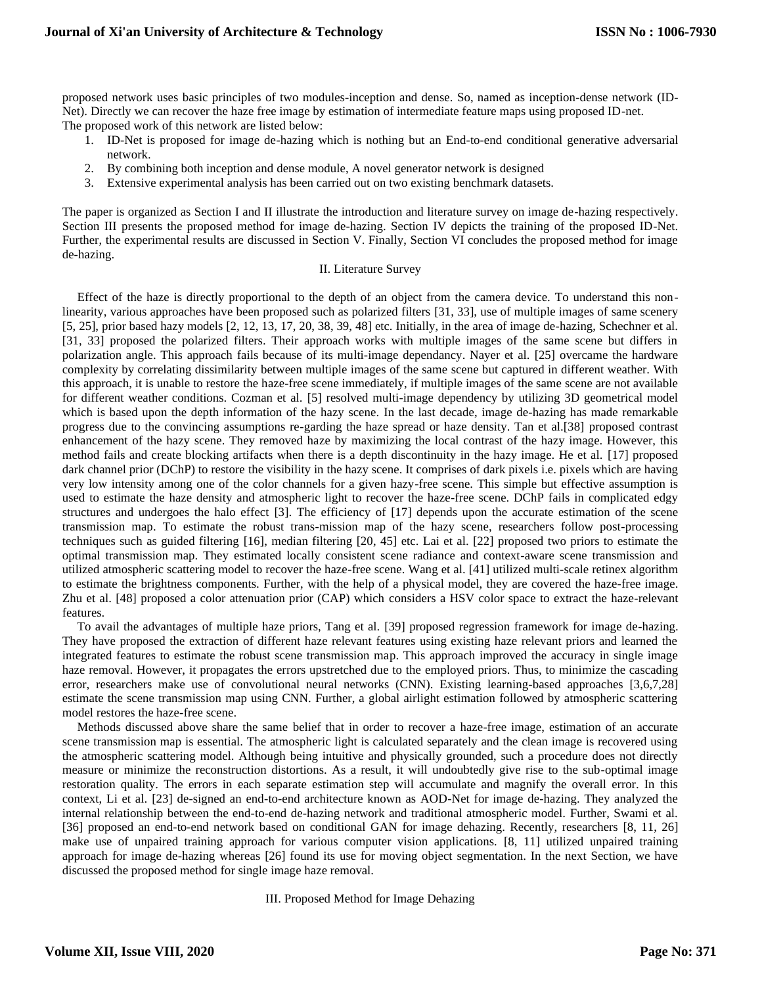proposed network uses basic principles of two modules-inception and dense. So, named as inception-dense network (ID-Net). Directly we can recover the haze free image by estimation of intermediate feature maps using proposed ID-net. The proposed work of this network are listed below:

- 1. ID-Net is proposed for image de-hazing which is nothing but an End-to-end conditional generative adversarial network.
- 2. By combining both inception and dense module, A novel generator network is designed
- 3. Extensive experimental analysis has been carried out on two existing benchmark datasets.

The paper is organized as Section I and II illustrate the introduction and literature survey on image de-hazing respectively. Section III presents the proposed method for image de-hazing. Section IV depicts the training of the proposed ID-Net. Further, the experimental results are discussed in Section V. Finally, Section VI concludes the proposed method for image de-hazing.

## II. Literature Survey

Effect of the haze is directly proportional to the depth of an object from the camera device. To understand this nonlinearity, various approaches have been proposed such as polarized filters [31, 33], use of multiple images of same scenery [\[5, 2](#page-5-0)5], prior based hazy models [\[2, 12, 13, 1](#page-5-0)7, 20, 38, 39, 48] etc. Initially, in the area of image de-hazing, Schechner et al. [31, 33] proposed the polarized filters. Their approach works with multiple images of the same scene but differs in polarization angle. This approach fails because of its multi-image dependancy. Nayer et al. [25] overcame the hardware complexity by correlating dissimilarity between multiple images of the same scene but captured in different weather. With this approach, it is unable to restore the haze-free scene immediately, if multiple images of the same scene are not available for different weather conditions. Cozman et al. [\[5\] r](#page-5-0)esolved multi-image dependency by utilizing 3D geometrical model which is based upon the depth information of the hazy scene. In the last decade, image de-hazing has made remarkable progress due to the convincing assumptions re-garding the haze spread or haze density. Tan et al.[38] proposed contrast enhancement of the hazy scene. They removed haze by maximizing the local contrast of the hazy image. However, this method fails and create blocking artifacts when there is a depth discontinuity in the hazy image. He et al. [17] proposed dark channel prior (DChP) to restore the visibility in the hazy scene. It comprises of dark pixels i.e. pixels which are having very low intensity among one of the color channels for a given hazy-free scene. This simple but effective assumption is used to estimate the haze density and atmospheric light to recover the haze-free scene. DChP fails in complicated edgy structures and undergoes the halo effect [\[3\]. T](#page-5-0)he efficiency of [17] depends upon the accurate estimation of the scene transmission map. To estimate the robust trans-mission map of the hazy scene, researchers follow post-processing techniques such as guided filtering [16], median filtering [20, 45] etc. Lai et al. [22] proposed two priors to estimate the optimal transmission map. They estimated locally consistent scene radiance and context-aware scene transmission and utilized atmospheric scattering model to recover the haze-free scene. Wang et al. [41] utilized multi-scale retinex algorithm to estimate the brightness components. Further, with the help of a physical model, they are covered the haze-free image. Zhu et al. [48] proposed a color attenuation prior (CAP) which considers a HSV color space to extract the haze-relevant features.

To avail the advantages of multiple haze priors, Tang et al. [39] proposed regression framework for image de-hazing. They have proposed the extraction of different haze relevant features using existing haze relevant priors and learned the integrated features to estimate the robust scene transmission map. This approach improved the accuracy in single image haze removal. However, it propagates the errors upstretched due to the employed priors. Thus, to minimize the cascading error, researchers make use of convolutional neural networks (CNN). Existing learning-based approaches [3,6,7,28] estimate the scene transmission map using CNN. Further, a global airlight estimation followed by atmospheric scattering model restores the haze-free scene.

Methods discussed above share the same belief that in order to recover a haze-free image, estimation of an accurate scene transmission map is essential. The atmospheric light is calculated separately and the clean image is recovered using the atmospheric scattering model. Although being intuitive and physically grounded, such a procedure does not directly measure or minimize the reconstruction distortions. As a result, it will undoubtedly give rise to the sub-optimal image restoration quality. The errors in each separate estimation step will accumulate and magnify the overall error. In this context, Li et al. [23] de-signed an end-to-end architecture known as AOD-Net for image de-hazing. They analyzed the internal relationship between the end-to-end de-hazing network and traditional atmospheric model. Further, Swami et al. [36] proposed an end-to-end network based on conditional GAN for image dehazing. Recently, researchers [\[8, 11, 2](#page-5-0)6] make use of unpaired training approach for various computer vision applications. [\[8, 11\] u](#page-5-0)tilized unpaired training approach for image de-hazing whereas [26] found its use for moving object segmentation. In the next Section, we have discussed the proposed method for single image haze removal.

III. Proposed Method for Image Dehazing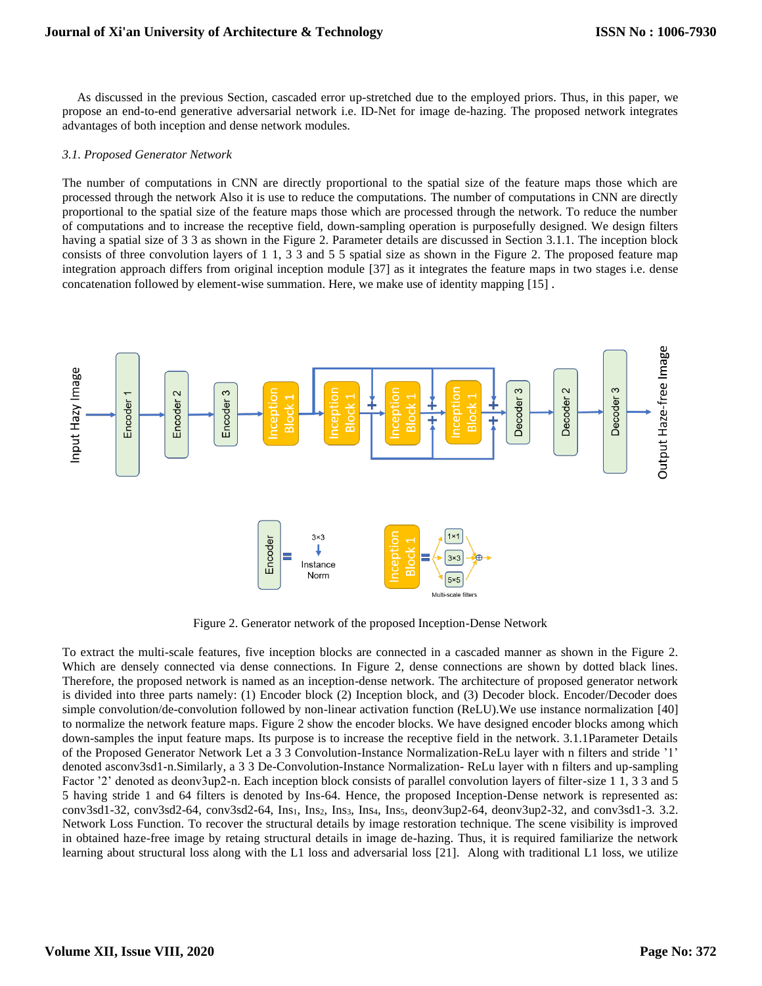As discussed in the previous Section, cascaded error up-stretched due to the employed priors. Thus, in this paper, we propose an end-to-end generative adversarial network i.e. ID-Net for image de-hazing. The proposed network integrates advantages of both inception and dense network modules.

## *3.1. Proposed Generator Network*

The number of computations in CNN are directly proportional to the spatial size of the feature maps those which are processed through the network Also it is use to reduce the computations. The number of computations in CNN are directly proportional to the spatial size of the feature maps those which are processed through the network. To reduce the number of computations and to increase the receptive field, down-sampling operation is purposefully designed. We design filters having a spatial size of 3 3 as shown in the Figure [2. P](#page-3-0)arameter details are discussed in Section [3.1.1.](#page-3-0) The inception block consists of three convolution layers of 1 1, 3 3 and 5 5 spatial size as shown in the Figure [2.](#page-3-0) The proposed feature map integration approach differs from original inception module [37] as it integrates the feature maps in two stages i.e. dense concatenation followed by element-wise summation. Here, we make use of identity mapping [\[15\]](#page-5-0) .



Figure 2. Generator network of the proposed Inception-Dense Network

<span id="page-2-0"></span>To extract the multi-scale features, five inception blocks are connected in a cascaded manner as shown in the Figure [2.](#page-3-0)  Which are densely connected via dense connections. In Figure [2,](#page-3-0) dense connections are shown by dotted black lines. Therefore, the proposed network is named as an inception-dense network. The architecture of proposed generator network is divided into three parts namely: (1) Encoder block (2) Inception block, and (3) Decoder block. Encoder/Decoder does simple convolution/de-convolution followed by non-linear activation function (ReLU).We use instance normalization [40] to normalize the network feature maps. Figure [2 s](#page-3-0)how the encoder blocks. We have designed encoder blocks among which down-samples the input feature maps. Its purpose is to increase the receptive field in the network. 3.1.1Parameter Details of the Proposed Generator Network Let a 3 3 Convolution-Instance Normalization-ReLu layer with n filters and stride '1' denoted asconv3sd1-n.Similarly, a 3 3 De-Convolution-Instance Normalization- ReLu layer with n filters and up-sampling Factor '2' denoted as deonv3up2-n. Each inception block consists of parallel convolution layers of filter-size 1 1, 3 3 and 5 5 having stride 1 and 64 filters is denoted by Ins-64. Hence, the proposed Inception-Dense network is represented as:  $conv3sd1-32$ ,  $conv3sd2-64$ ,  $conv3sd2-64$ ,  $Ins<sub>1</sub>$ ,  $Ins<sub>2</sub>$ ,  $Ins<sub>3</sub>$ ,  $Ins<sub>4</sub>$ ,  $Ins<sub>5</sub>$ ,  $denv3up2-64$ ,  $denv3up2-32$ , and  $conv3sd1-3$ . 3.2. Network Loss Function. To recover the structural details by image restoration technique. The scene visibility is improved in obtained haze-free image by retaing structural details in image de-hazing. Thus, it is required familiarize the network learning about structural loss along with the L1 loss and adversarial loss [21]. Along with traditional L1 loss, we utilize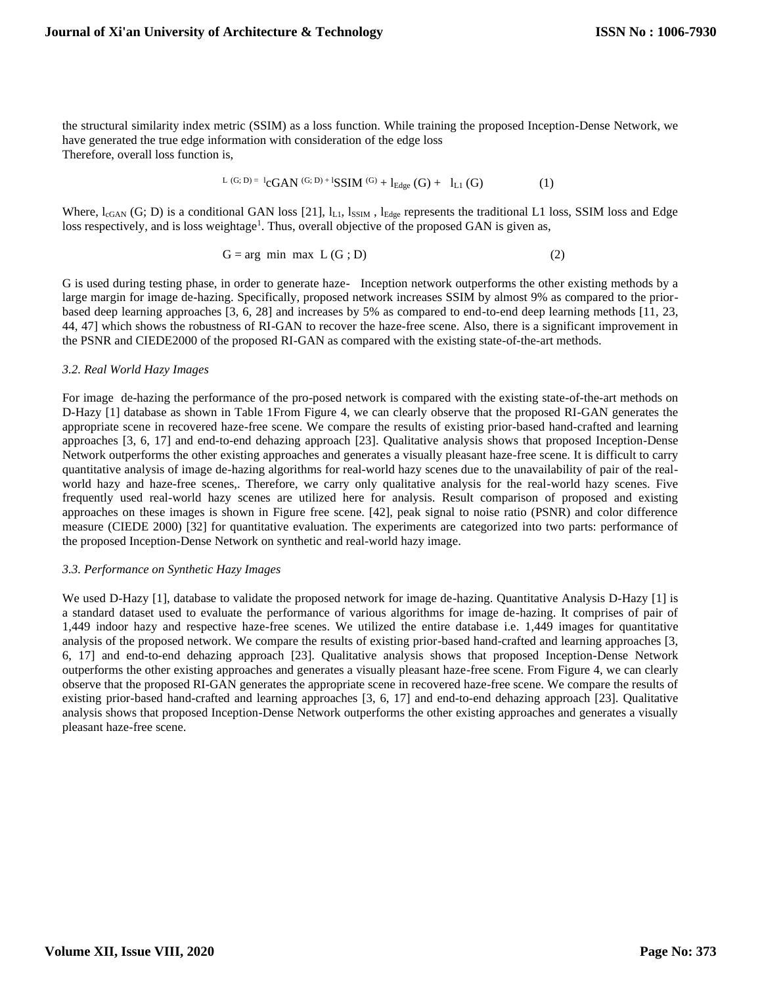<span id="page-3-0"></span>the structural similarity index metric (SSIM) as a loss function. While training the proposed Inception-Dense Network, we have generated the true edge information with consideration of the edge loss Therefore, overall loss function is,

$$
L(G; D) = l_{\mathbf{CGAN}}(G; D) + l_{\mathbf{SSIM}}(G) + l_{\mathbf{Edge}}(G) + l_{L1}(G) \tag{1}
$$

Where,  $l_{cGAN}$  (G; D) is a conditional GAN loss [21],  $l_{L1}$ ,  $l_{SSIM}$ ,  $l_{Edge}$  represents the traditional L1 loss, SSIM loss and Edge loss r[e](#page-2-0)spectively, and is loss weightage<sup>1</sup>. Thus, overall objective of the proposed GAN is given as,

$$
G = arg min max L(G; D)
$$
 (2)

G is used during testing phase, in order to generate haze- Inception network outperforms the other existing methods by a large margin for image de-hazing. Specifically, proposed network increases SSIM by almost 9% as compared to the priorbased deep learning approaches [3, 6, 28] and increases by 5% as compared to end-to-end deep learning methods [11, 23, 44, 47] which shows the robustness of RI-GAN to recover the haze-free scene. Also, there is a significant improvement in the PSNR and CIEDE2000 of the proposed RI-GAN as compared with the existing state-of-the-art methods.

## *3.2. Real World Hazy Images*

For image de-hazing the performance of the pro-posed network is compared with the existing state-of-the-art methods on D-Hazy [1] database as shown in Table 1From Figure [4, w](#page-4-0)e can clearly observe that the proposed RI-GAN generates the appropriate scene in recovered haze-free scene. We compare the results of existing prior-based hand-crafted and learning approaches [\[3, 6, 1](#page-5-0)7] and end-to-end dehazing approach [23]. Qualitative analysis shows that proposed Inception-Dense Network outperforms the other existing approaches and generates a visually pleasant haze-free scene. It is difficult to carry quantitative analysis of image de-hazing algorithms for real-world hazy scenes due to the unavailability of pair of the realworld hazy and haze-free scenes,. Therefore, we carry only qualitative analysis for the real-world hazy scenes. Five frequently used real-world hazy scenes are utilized here for analysis. Result comparison of proposed and existing approaches on these images is shown in Figure free scene. [42], peak signal to noise ratio (PSNR) and color difference measure (CIEDE 2000) [32] for quantitative evaluation. The experiments are categorized into two parts: performance of the proposed Inception-Dense Network on synthetic and real-world hazy image.

### *3.3. Performance on Synthetic Hazy Images*

We used D-Hazy [1], database to validate the proposed network for image de-hazing. Quantitative Analysis D-Hazy [1] is a standard dataset used to evaluate the performance of various algorithms for image de-hazing. It comprises of pair of 1,449 indoor hazy and respective haze-free scenes. We utilized the entire database i.e. 1,449 images for quantitative analysis of the proposed network. We compare the results of existing prior-based hand-crafted and learning approaches [\[3,](#page-5-0)  [6, 1](#page-5-0)7] and end-to-end dehazing approach [23]. Qualitative analysis shows that proposed Inception-Dense Network outperforms the other existing approaches and generates a visually pleasant haze-free scene. From Figur[e 4, w](#page-4-0)e can clearly observe that the proposed RI-GAN generates the appropriate scene in recovered haze-free scene. We compare the results of existing prior-based hand-crafted and learning approaches [\[3, 6, 1](#page-5-0)7] and end-to-end dehazing approach [23]. Qualitative analysis shows that proposed Inception-Dense Network outperforms the other existing approaches and generates a visually pleasant haze-free scene.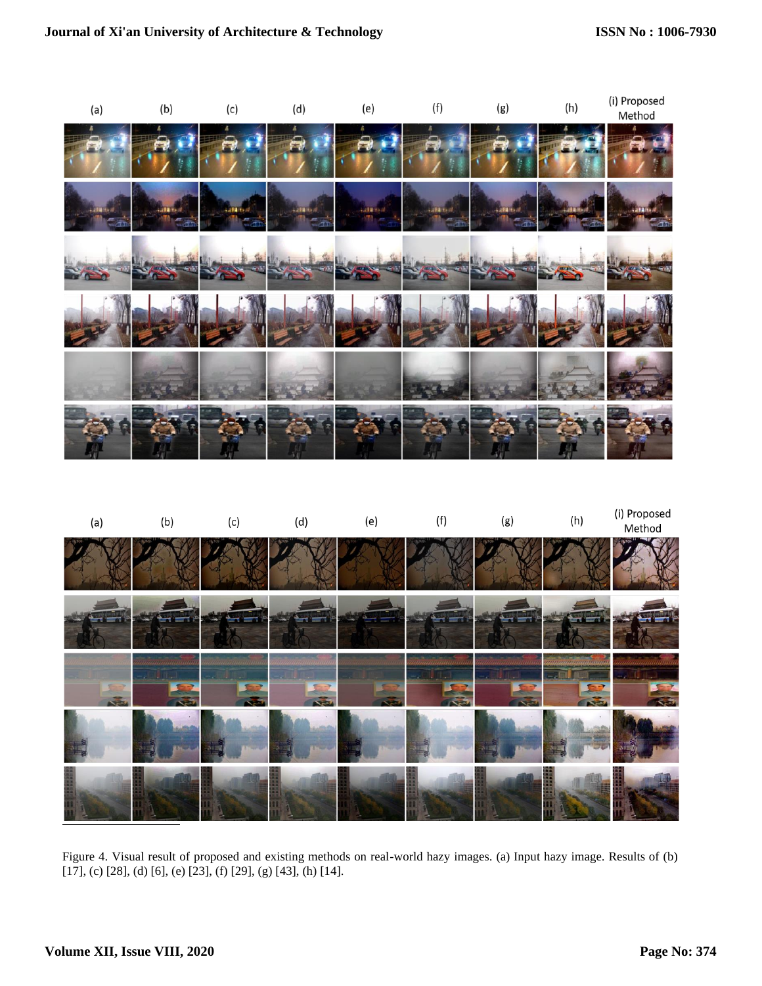

<span id="page-4-0"></span>

Figure 4. Visual result of proposed and existing methods on real-world hazy images. (a) Input hazy image. Results of (b) [17], (c) [28], (d) [\[6\], \(](#page-5-0)e) [23], (f) [29], (g) [43], (h) [\[14\].](#page-5-0)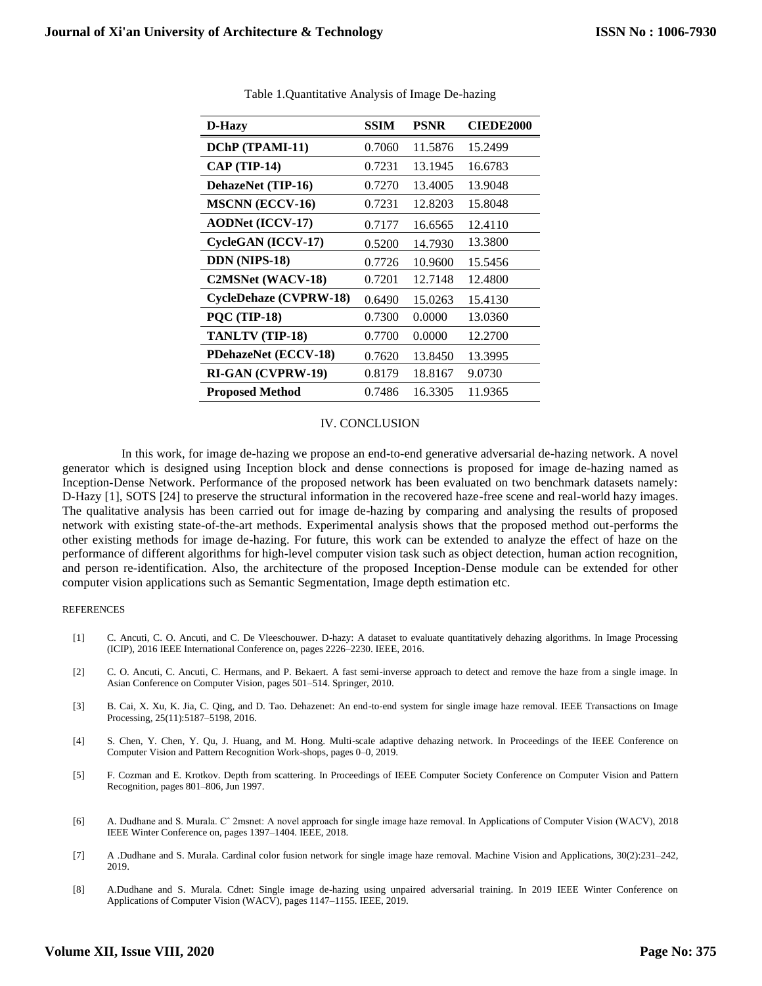| D-Hazy                        | <b>SSIM</b> | <b>PSNR</b> | <b>CIEDE2000</b> |
|-------------------------------|-------------|-------------|------------------|
| DChP (TPAMI-11)               | 0.7060      | 11.5876     | 15.2499          |
| $CAP$ (TIP-14)                | 0.7231      | 13.1945     | 16.6783          |
| DehazeNet (TIP-16)            | 0.7270      | 13.4005     | 13.9048          |
| <b>MSCNN</b> (ECCV-16)        | 0.7231      | 12.8203     | 15.8048          |
| <b>AODNet (ICCV-17)</b>       | 0.7177      | 16.6565     | 12.4110          |
| CycleGAN (ICCV-17)            | 0.5200      | 14.7930     | 13.3800          |
| <b>DDN</b> (NIPS-18)          | 0.7726      | 10.9600     | 15.5456          |
| C2MSNet (WACV-18)             | 0.7201      | 12.7148     | 12.4800          |
| <b>CycleDehaze (CVPRW-18)</b> | 0.6490      | 15.0263     | 15.4130          |
| <b>PQC (TIP-18)</b>           | 0.7300      | 0.0000      | 13.0360          |
| TANLTV (TIP-18)               | 0.7700      | 0.0000      | 12.2700          |
| <b>PDehazeNet (ECCV-18)</b>   | 0.7620      | 13.8450     | 13.3995          |
| RI-GAN (CVPRW-19)             | 0.8179      | 18.8167     | 9.0730           |
| <b>Proposed Method</b>        | 0.7486      | 16.3305     | 11.9365          |

Table 1.Quantitative Analysis of Image De-hazing

### IV. CONCLUSION

<span id="page-5-0"></span> In this work, for image de-hazing we propose an end-to-end generative adversarial de-hazing network. A novel generator which is designed using Inception block and dense connections is proposed for image de-hazing named as Inception-Dense Network. Performance of the proposed network has been evaluated on two benchmark datasets namely: D-Hazy [1], SOTS [24] to preserve the structural information in the recovered haze-free scene and real-world hazy images. The qualitative analysis has been carried out for image de-hazing by comparing and analysing the results of proposed network with existing state-of-the-art methods. Experimental analysis shows that the proposed method out-performs the other existing methods for image de-hazing. For future, this work can be extended to analyze the effect of haze on the performance of different algorithms for high-level computer vision task such as object detection, human action recognition, and person re-identification. Also, the architecture of the proposed Inception-Dense module can be extended for other computer vision applications such as Semantic Segmentation, Image depth estimation etc.

### REFERENCES

- [1] C. Ancuti, C. O. Ancuti, and C. De Vleeschouwer. D-hazy: A dataset to evaluate quantitatively dehazing algorithms. In Image Processing (ICIP), 2016 IEEE International Conference on, pages 2226–2230. IEEE, 2016.
- [2] C. O. Ancuti, C. Ancuti, C. Hermans, and P. Bekaert. A fast semi-inverse approach to detect and remove the haze from a single image. In Asian Conference on Computer Vision, pages 501–514. Springer, 2010.
- [3] B. Cai, X. Xu, K. Jia, C. Qing, and D. Tao. Dehazenet: An end-to-end system for single image haze removal. IEEE Transactions on Image Processing, 25(11):5187–5198, 2016.
- [4] S. Chen, Y. Chen, Y. Qu, J. Huang, and M. Hong. Multi-scale adaptive dehazing network. In Proceedings of the IEEE Conference on Computer Vision and Pattern Recognition Work-shops, pages 0–0, 2019.
- [5] F. Cozman and E. Krotkov. Depth from scattering. In Proceedings of IEEE Computer Society Conference on Computer Vision and Pattern Recognition, pages 801–806, Jun 1997.
- [6] A. Dudhane and S. Murala. Cˆ 2msnet: A novel approach for single image haze removal. In Applications of Computer Vision (WACV), 2018 IEEE Winter Conference on, pages 1397–1404. IEEE, 2018.
- [7] A .Dudhane and S. Murala. Cardinal color fusion network for single image haze removal. Machine Vision and Applications, 30(2):231–242, 2019.
- [8] A.Dudhane and S. Murala. Cdnet: Single image de-hazing using unpaired adversarial training. In 2019 IEEE Winter Conference on Applications of Computer Vision (WACV), pages 1147–1155. IEEE, 2019.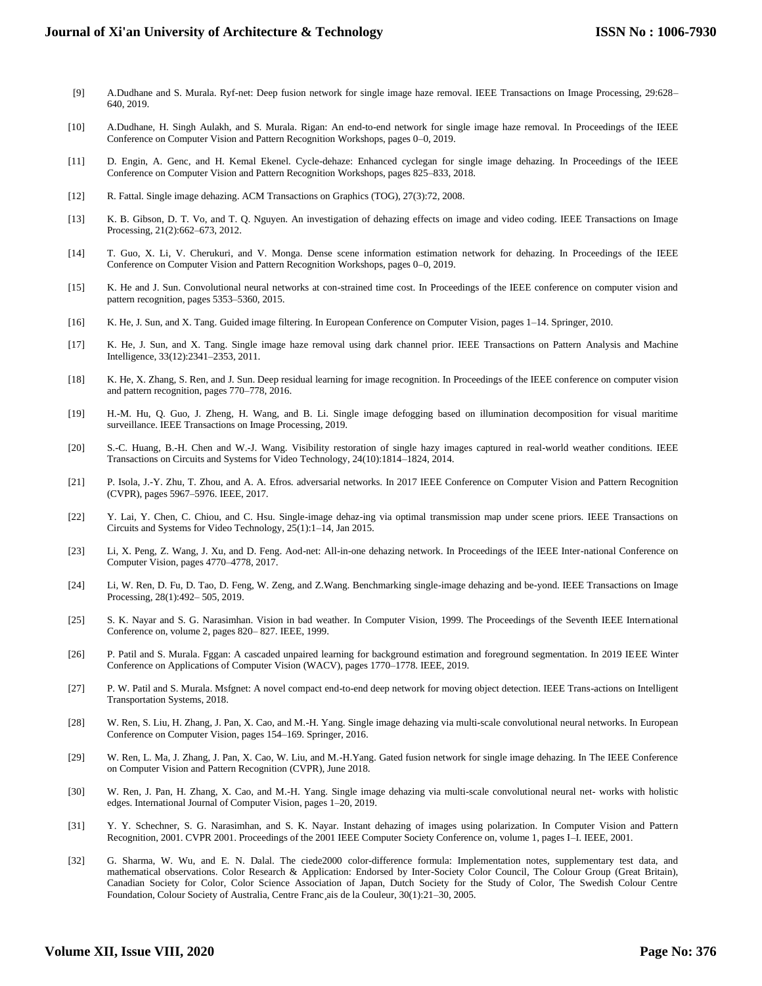- [9] A.Dudhane and S. Murala. Ryf-net: Deep fusion network for single image haze removal. IEEE Transactions on Image Processing, 29:628– 640, 2019.
- [10] A.Dudhane, H. Singh Aulakh, and S. Murala. Rigan: An end-to-end network for single image haze removal. In Proceedings of the IEEE Conference on Computer Vision and Pattern Recognition Workshops, pages 0–0, 2019.
- [11] D. Engin, A. Genc, and H. Kemal Ekenel. Cycle-dehaze: Enhanced cyclegan for single image dehazing. In Proceedings of the IEEE Conference on Computer Vision and Pattern Recognition Workshops, pages 825–833, 2018.
- [12] R. Fattal. Single image dehazing. ACM Transactions on Graphics (TOG), 27(3):72, 2008.
- [13] K. B. Gibson, D. T. Vo, and T. Q. Nguyen. An investigation of dehazing effects on image and video coding. IEEE Transactions on Image Processing, 21(2):662–673, 2012.
- [14] T. Guo, X. Li, V. Cherukuri, and V. Monga. Dense scene information estimation network for dehazing. In Proceedings of the IEEE Conference on Computer Vision and Pattern Recognition Workshops, pages 0–0, 2019.
- [15] K. He and J. Sun. Convolutional neural networks at con-strained time cost. In Proceedings of the IEEE conference on computer vision and pattern recognition, pages 5353–5360, 2015.
- [16] K. He, J. Sun, and X. Tang. Guided image filtering. In European Conference on Computer Vision, pages 1–14. Springer, 2010.
- [17] K. He, J. Sun, and X. Tang. Single image haze removal using dark channel prior. IEEE Transactions on Pattern Analysis and Machine Intelligence, 33(12):2341–2353, 2011.
- [18] K. He, X. Zhang, S. Ren, and J. Sun. Deep residual learning for image recognition. In Proceedings of the IEEE conference on computer vision and pattern recognition, pages 770–778, 2016.
- [19] H.-M. Hu, Q. Guo, J. Zheng, H. Wang, and B. Li. Single image defogging based on illumination decomposition for visual maritime surveillance. IEEE Transactions on Image Processing, 2019.
- [20] S.-C. Huang, B.-H. Chen and W.-J. Wang. Visibility restoration of single hazy images captured in real-world weather conditions. IEEE Transactions on Circuits and Systems for Video Technology, 24(10):1814–1824, 2014.
- [21] P. Isola, J.-Y. Zhu, T. Zhou, and A. A. Efros. adversarial networks. In 2017 IEEE Conference on Computer Vision and Pattern Recognition (CVPR), pages 5967–5976. IEEE, 2017.
- [22] Y. Lai, Y. Chen, C. Chiou, and C. Hsu. Single-image dehaz-ing via optimal transmission map under scene priors. IEEE Transactions on Circuits and Systems for Video Technology, 25(1):1–14, Jan 2015.
- [23] Li, X. Peng, Z. Wang, J. Xu, and D. Feng. Aod-net: All-in-one dehazing network. In Proceedings of the IEEE Inter-national Conference on Computer Vision, pages 4770–4778, 2017.
- [24] Li, W. Ren, D. Fu, D. Tao, D. Feng, W. Zeng, and Z.Wang. Benchmarking single-image dehazing and be-yond. IEEE Transactions on Image Processing, 28(1):492– 505, 2019.
- [25] S. K. Nayar and S. G. Narasimhan. Vision in bad weather. In Computer Vision, 1999. The Proceedings of the Seventh IEEE International Conference on, volume 2, pages 820– 827. IEEE, 1999.
- [26] P. Patil and S. Murala. Fggan: A cascaded unpaired learning for background estimation and foreground segmentation. In 2019 IEEE Winter Conference on Applications of Computer Vision (WACV), pages 1770–1778. IEEE, 2019.
- [27] P. W. Patil and S. Murala. Msfgnet: A novel compact end-to-end deep network for moving object detection. IEEE Trans-actions on Intelligent Transportation Systems, 2018.
- [28] W. Ren, S. Liu, H. Zhang, J. Pan, X. Cao, and M.-H. Yang. Single image dehazing via multi-scale convolutional neural networks. In European Conference on Computer Vision, pages 154–169. Springer, 2016.
- [29] W. Ren, L. Ma, J. Zhang, J. Pan, X. Cao, W. Liu, and M.-H.Yang. Gated fusion network for single image dehazing. In The IEEE Conference on Computer Vision and Pattern Recognition (CVPR), June 2018.
- [30] W. Ren, J. Pan, H. Zhang, X. Cao, and M.-H. Yang. Single image dehazing via multi-scale convolutional neural net- works with holistic edges. International Journal of Computer Vision, pages 1–20, 2019.
- [31] Y. Y. Schechner, S. G. Narasimhan, and S. K. Nayar. Instant dehazing of images using polarization. In Computer Vision and Pattern Recognition, 2001. CVPR 2001. Proceedings of the 2001 IEEE Computer Society Conference on, volume 1, pages I–I. IEEE, 2001.
- [32] G. Sharma, W. Wu, and E. N. Dalal. The ciede2000 color-difference formula: Implementation notes, supplementary test data, and mathematical observations. Color Research & Application: Endorsed by Inter-Society Color Council, The Colour Group (Great Britain), Canadian Society for Color, Color Science Association of Japan, Dutch Society for the Study of Color, The Swedish Colour Centre Foundation, Colour Society of Australia, Centre Franc¸ais de la Couleur, 30(1):21–30, 2005.